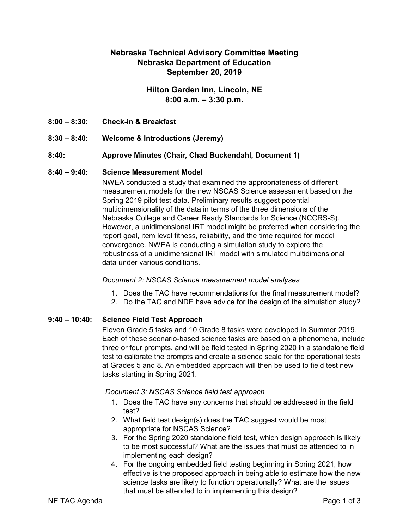# **Nebraska Technical Advisory Committee Meeting Nebraska Department of Education September 20, 2019**

# **Hilton Garden Inn, Lincoln, NE 8:00 a.m. – 3:30 p.m.**

- **8:00 – 8:30: Check-in & Breakfast**
- **8:30 – 8:40: Welcome & Introductions (Jeremy)**
- **8:40: Approve Minutes (Chair, Chad Buckendahl, Document 1)**

## **8:40 – 9:40: Science Measurement Model**

NWEA conducted a study that examined the appropriateness of different measurement models for the new NSCAS Science assessment based on the Spring 2019 pilot test data. Preliminary results suggest potential multidimensionality of the data in terms of the three dimensions of the Nebraska College and Career Ready Standards for Science (NCCRS-S). However, a unidimensional IRT model might be preferred when considering the report goal, item level fitness, reliability, and the time required for model convergence. NWEA is conducting a simulation study to explore the robustness of a unidimensional IRT model with simulated multidimensional data under various conditions.

#### *Document 2: NSCAS Science measurement model analyses*

- 1. Does the TAC have recommendations for the final measurement model?
- 2. Do the TAC and NDE have advice for the design of the simulation study?

## **9:40 – 10:40: Science Field Test Approach**

Eleven Grade 5 tasks and 10 Grade 8 tasks were developed in Summer 2019. Each of these scenario-based science tasks are based on a phenomena, include three or four prompts, and will be field tested in Spring 2020 in a standalone field test to calibrate the prompts and create a science scale for the operational tests at Grades 5 and 8. An embedded approach will then be used to field test new tasks starting in Spring 2021.

*Document 3: NSCAS Science field test approach*

- 1. Does the TAC have any concerns that should be addressed in the field test?
- 2. What field test design(s) does the TAC suggest would be most appropriate for NSCAS Science?
- 3. For the Spring 2020 standalone field test, which design approach is likely to be most successful? What are the issues that must be attended to in implementing each design?
- 4. For the ongoing embedded field testing beginning in Spring 2021, how effective is the proposed approach in being able to estimate how the new science tasks are likely to function operationally? What are the issues that must be attended to in implementing this design?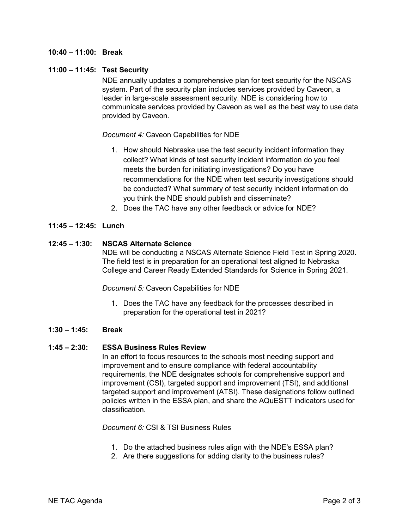## **10:40 – 11:00: Break**

## **11:00 – 11:45: Test Security**

NDE annually updates a comprehensive plan for test security for the NSCAS system. Part of the security plan includes services provided by Caveon, a leader in large-scale assessment security. NDE is considering how to communicate services provided by Caveon as well as the best way to use data provided by Caveon.

*Document 4:* Caveon Capabilities for NDE

- 1. How should Nebraska use the test security incident information they collect? What kinds of test security incident information do you feel meets the burden for initiating investigations? Do you have recommendations for the NDE when test security investigations should be conducted? What summary of test security incident information do you think the NDE should publish and disseminate?
- 2. Does the TAC have any other feedback or advice for NDE?

## **11:45 – 12:45: Lunch**

## **12:45 – 1:30: NSCAS Alternate Science**

NDE will be conducting a NSCAS Alternate Science Field Test in Spring 2020. The field test is in preparation for an operational test aligned to Nebraska College and Career Ready Extended Standards for Science in Spring 2021.

*Document 5:* Caveon Capabilities for NDE

1. Does the TAC have any feedback for the processes described in preparation for the operational test in 2021?

#### **1:30 – 1:45: Break**

#### **1:45 – 2:30: ESSA Business Rules Review**

In an effort to focus resources to the schools most needing support and improvement and to ensure compliance with federal accountability requirements, the NDE designates schools for comprehensive support and improvement (CSI), targeted support and improvement (TSI), and additional targeted support and improvement (ATSI). These designations follow outlined policies written in the ESSA plan, and share the AQuESTT indicators used for classification.

*Document 6:* CSI & TSI Business Rules

- 1. Do the attached business rules align with the NDE's ESSA plan?
- 2. Are there suggestions for adding clarity to the business rules?